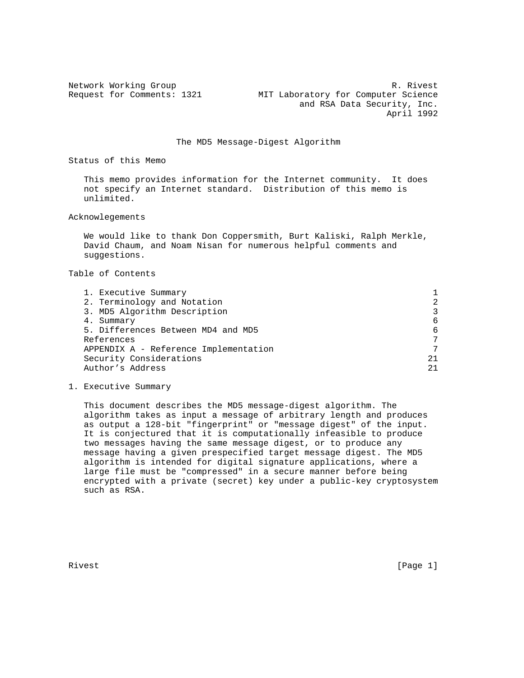Network Working Group and the set of the set of the R. Rivest Request for Comments: 1321 MIT Laboratory for Computer Science and RSA Data Security, Inc. April 1992

The MD5 Message-Digest Algorithm

Status of this Memo

 This memo provides information for the Internet community. It does not specify an Internet standard. Distribution of this memo is unlimited.

Acknowlegements

 We would like to thank Don Coppersmith, Burt Kaliski, Ralph Merkle, David Chaum, and Noam Nisan for numerous helpful comments and suggestions.

Table of Contents

| 1. Executive Summary                  |                |
|---------------------------------------|----------------|
| 2. Terminology and Notation           | $\overline{2}$ |
| 3. MD5 Algorithm Description          | 3              |
| 4. Summary                            | 6              |
| 5. Differences Between MD4 and MD5    | 6              |
| References                            | 7              |
| APPENDIX A - Reference Implementation | 7              |
| Security Considerations               | 21             |
| Author's Address                      | 2.1            |
|                                       |                |

1. Executive Summary

 This document describes the MD5 message-digest algorithm. The algorithm takes as input a message of arbitrary length and produces as output a 128-bit "fingerprint" or "message digest" of the input. It is conjectured that it is computationally infeasible to produce two messages having the same message digest, or to produce any message having a given prespecified target message digest. The MD5 algorithm is intended for digital signature applications, where a large file must be "compressed" in a secure manner before being encrypted with a private (secret) key under a public-key cryptosystem such as RSA.

Rivest [Page 1]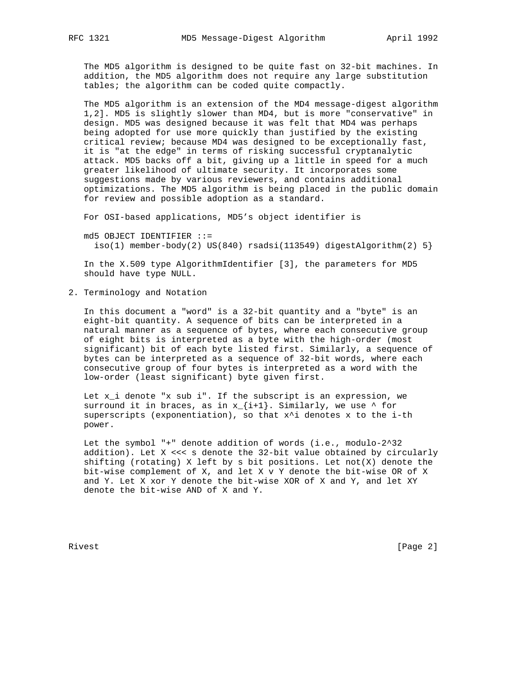The MD5 algorithm is designed to be quite fast on 32-bit machines. In addition, the MD5 algorithm does not require any large substitution tables; the algorithm can be coded quite compactly.

 The MD5 algorithm is an extension of the MD4 message-digest algorithm 1,2]. MD5 is slightly slower than MD4, but is more "conservative" in design. MD5 was designed because it was felt that MD4 was perhaps being adopted for use more quickly than justified by the existing critical review; because MD4 was designed to be exceptionally fast, it is "at the edge" in terms of risking successful cryptanalytic attack. MD5 backs off a bit, giving up a little in speed for a much greater likelihood of ultimate security. It incorporates some suggestions made by various reviewers, and contains additional optimizations. The MD5 algorithm is being placed in the public domain for review and possible adoption as a standard.

For OSI-based applications, MD5's object identifier is

 md5 OBJECT IDENTIFIER ::=  $iso(1)$  member-body(2) US(840) rsadsi(113549) digestAlgorithm(2) 5}

 In the X.509 type AlgorithmIdentifier [3], the parameters for MD5 should have type NULL.

2. Terminology and Notation

 In this document a "word" is a 32-bit quantity and a "byte" is an eight-bit quantity. A sequence of bits can be interpreted in a natural manner as a sequence of bytes, where each consecutive group of eight bits is interpreted as a byte with the high-order (most significant) bit of each byte listed first. Similarly, a sequence of bytes can be interpreted as a sequence of 32-bit words, where each consecutive group of four bytes is interpreted as a word with the low-order (least significant) byte given first.

Let  $x_i$  denote "x sub i". If the subscript is an expression, we surround it in braces, as in  $x_{i+1}$ . Similarly, we use  $\land$  for superscripts (exponentiation), so that  $x^i$  denotes x to the i-th power.

 Let the symbol "+" denote addition of words (i.e., modulo-2^32 addition). Let X <<< s denote the 32-bit value obtained by circularly shifting (rotating) X left by s bit positions. Let not(X) denote the bit-wise complement of X, and let X v Y denote the bit-wise OR of X and Y. Let X xor Y denote the bit-wise XOR of X and Y, and let XY denote the bit-wise AND of X and Y.

Rivest [Page 2]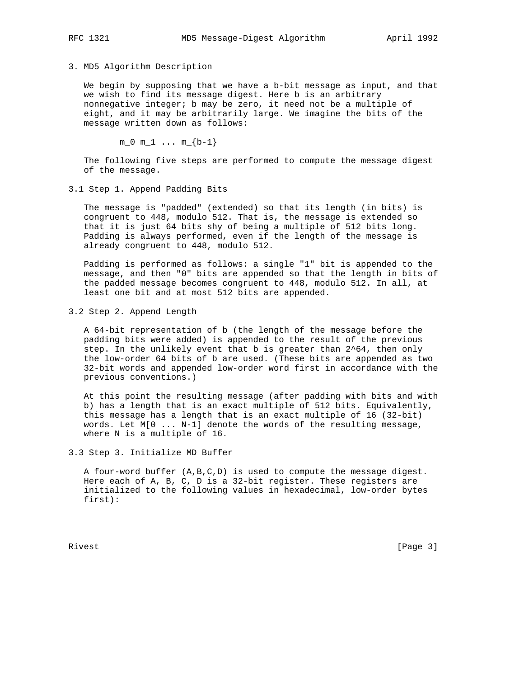## 3. MD5 Algorithm Description

 We begin by supposing that we have a b-bit message as input, and that we wish to find its message digest. Here b is an arbitrary nonnegative integer; b may be zero, it need not be a multiple of eight, and it may be arbitrarily large. We imagine the bits of the message written down as follows:

 $m_0 m_1 ... m_{b-1}$ 

 The following five steps are performed to compute the message digest of the message.

3.1 Step 1. Append Padding Bits

 The message is "padded" (extended) so that its length (in bits) is congruent to 448, modulo 512. That is, the message is extended so that it is just 64 bits shy of being a multiple of 512 bits long. Padding is always performed, even if the length of the message is already congruent to 448, modulo 512.

 Padding is performed as follows: a single "1" bit is appended to the message, and then "0" bits are appended so that the length in bits of the padded message becomes congruent to 448, modulo 512. In all, at least one bit and at most 512 bits are appended.

3.2 Step 2. Append Length

 A 64-bit representation of b (the length of the message before the padding bits were added) is appended to the result of the previous step. In the unlikely event that b is greater than 2^64, then only the low-order 64 bits of b are used. (These bits are appended as two 32-bit words and appended low-order word first in accordance with the previous conventions.)

 At this point the resulting message (after padding with bits and with b) has a length that is an exact multiple of 512 bits. Equivalently, this message has a length that is an exact multiple of 16 (32-bit) words. Let M[0 ... N-1] denote the words of the resulting message, where N is a multiple of 16.

3.3 Step 3. Initialize MD Buffer

 A four-word buffer (A,B,C,D) is used to compute the message digest. Here each of A, B, C, D is a 32-bit register. These registers are initialized to the following values in hexadecimal, low-order bytes first):

Rivest [Page 3]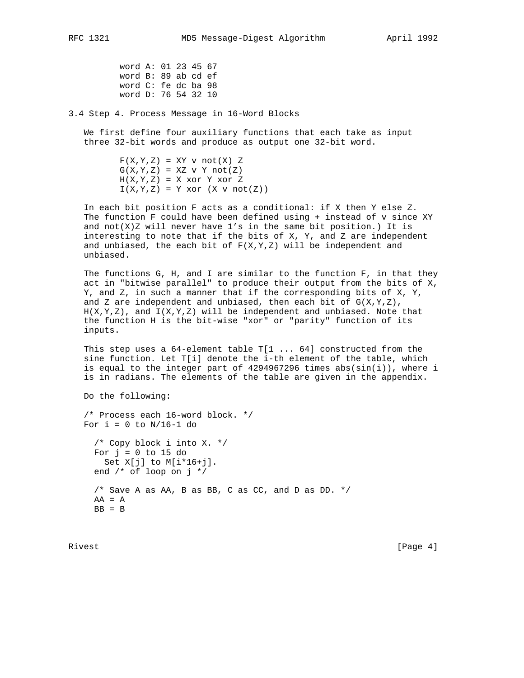word A: 01 23 45 67 word B: 89 ab cd ef word C: fe dc ba 98 word D: 76 54 32 10

3.4 Step 4. Process Message in 16-Word Blocks

 We first define four auxiliary functions that each take as input three 32-bit words and produce as output one 32-bit word.

> $F(X,Y,Z) = XY \text{ v } not(X) Z$  $G(X,Y,Z) = XZ \tV Y \tnot (Z)$  $H(X,Y,Z) = X x 0r Y x 0r Z$  $I(X,Y,Z) = Y xor (X v not(Z))$

 In each bit position F acts as a conditional: if X then Y else Z. The function F could have been defined using + instead of v since XY and  $not(X)Z$  will never have  $1's$  in the same bit position.) It is interesting to note that if the bits of X, Y, and Z are independent and unbiased, the each bit of  $F(X,Y,Z)$  will be independent and unbiased.

 The functions G, H, and I are similar to the function F, in that they act in "bitwise parallel" to produce their output from the bits of X, Y, and Z, in such a manner that if the corresponding bits of X, Y, and Z are independent and unbiased, then each bit of  $G(X,Y,Z)$ ,  $H(X,Y,Z)$ , and  $I(X,Y,Z)$  will be independent and unbiased. Note that the function H is the bit-wise "xor" or "parity" function of its inputs.

 This step uses a 64-element table T[1 ... 64] constructed from the sine function. Let T[i] denote the i-th element of the table, which is equal to the integer part of  $4294967296$  times abs( $sin(i)$ ), where i is in radians. The elements of the table are given in the appendix.

Do the following:

 /\* Process each 16-word block. \*/ For  $i = 0$  to  $N/16-1$  do

 /\* Copy block i into X. \*/ For  $j = 0$  to 15 do Set X[j] to M[i\*16+j]. end  $/*$  of loop on  $j * /$  /\* Save A as AA, B as BB, C as CC, and D as DD. \*/  $AA = A$  $BB = B$ 

Rivest [Page 4]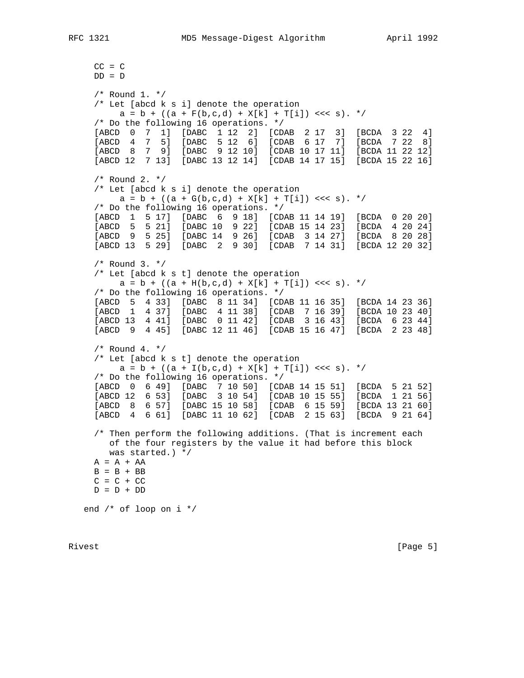```
CC = CDD = D
```
 /\* Round 1. \*/ /\* Let [abcd k s i] denote the operation  $a = b + ((a + F(b, c, d) + X[k] + T[i]) \ll < s)$ . \*/ /\* Do the following 16 operations. \*/ [ABCD 0 7 1] [DABC 1 12 2] [CDAB 2 17 3] [BCDA 3 22 4] [ABCD 4 7 5] [DABC 5 12 6] [CDAB 6 17 7] [BCDA 7 22 8] [ABCD 8 7 9] [DABC 9 12 10] [CDAB 10 17 11] [BCDA 11 22 12] [ABCD 12 7 13] [DABC 13 12 14] [CDAB 14 17 15] [BCDA 15 22 16] /\* Round 2. \*/ /\* Let [abcd k s i] denote the operation  $a = b + ((a + G(b, c, d) + X[k] + T[i]) \ll < s$ . \*/ /\* Do the following 16 operations. \*/ [ABCD 1 5 17] [DABC 6 9 18] [CDAB 11 14 19] [BCDA 0 20 20] [ABCD 5 5 21] [DABC 10 9 22] [CDAB 15 14 23] [BCDA 4 20 24] [ABCD 9 5 25] [DABC 14 9 26] [CDAB 3 14 27] [BCDA 8 20 28] [ABCD 13 5 29] [DABC 2 9 30] [CDAB 7 14 31] [BCDA 12 20 32] /\* Round 3. \*/ /\* Let [abcd k s t] denote the operation  $a = b + ((a + H(b, c, d) + X[k] + T[i]) \ll < s).$  \*/ /\* Do the following 16 operations. \*/ [ABCD 5 4 33] [DABC 8 11 34] [CDAB 11 16 35] [BCDA 14 23 36] [ABCD 1 4 37] [DABC 4 11 38] [CDAB 7 16 39] [BCDA 10 23 40] [ABCD 13 4 41] [DABC 0 11 42] [CDAB 3 16 43] [BCDA 6 23 44] [ABCD 9 4 45] [DABC 12 11 46] [CDAB 15 16 47] [BCDA 2 23 48]  $/*$  Round 4.  $*/$  /\* Let [abcd k s t] denote the operation  $a = b + ((a + I(b, c, d) + X[k] + T[i]) \ll s \ll s).$  \*/ /\* Do the following 16 operations. \*/ [ABCD 0 6 49] [DABC 7 10 50] [CDAB 14 15 51] [BCDA 5 21 52] [ABCD 12 6 53] [DABC 3 10 54] [CDAB 10 15 55] [BCDA 1 21 56] [ABCD 8 6 57] [DABC 15 10 58] [CDAB 6 15 59] [BCDA 13 21 60] [ABCD 4 6 61] [DABC 11 10 62] [CDAB 2 15 63] [BCDA 9 21 64] /\* Then perform the following additions. (That is increment each of the four registers by the value it had before this block was started.) \*/  $A = A + AA$  $B = B + BB$  $C = C + CC$  $D = D + DD$ end /\* of loop on i \*/

Rivest [Page 5]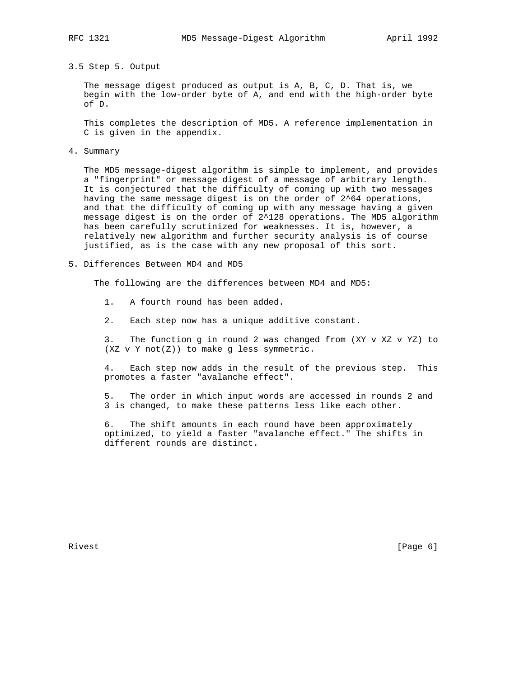## 3.5 Step 5. Output

 The message digest produced as output is A, B, C, D. That is, we begin with the low-order byte of A, and end with the high-order byte of D.

 This completes the description of MD5. A reference implementation in C is given in the appendix.

4. Summary

 The MD5 message-digest algorithm is simple to implement, and provides a "fingerprint" or message digest of a message of arbitrary length. It is conjectured that the difficulty of coming up with two messages having the same message digest is on the order of 2^64 operations, and that the difficulty of coming up with any message having a given message digest is on the order of 2^128 operations. The MD5 algorithm has been carefully scrutinized for weaknesses. It is, however, a relatively new algorithm and further security analysis is of course justified, as is the case with any new proposal of this sort.

5. Differences Between MD4 and MD5

The following are the differences between MD4 and MD5:

- 1. A fourth round has been added.
- 2. Each step now has a unique additive constant.

 3. The function g in round 2 was changed from (XY v XZ v YZ) to (XZ v Y not(Z)) to make g less symmetric.

 4. Each step now adds in the result of the previous step. This promotes a faster "avalanche effect".

 5. The order in which input words are accessed in rounds 2 and 3 is changed, to make these patterns less like each other.

 6. The shift amounts in each round have been approximately optimized, to yield a faster "avalanche effect." The shifts in different rounds are distinct.

Rivest [Page 6]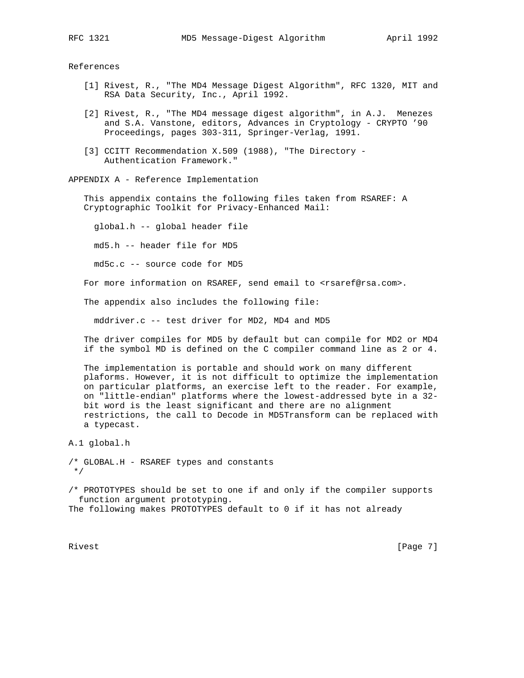References

- [1] Rivest, R., "The MD4 Message Digest Algorithm", RFC 1320, MIT and RSA Data Security, Inc., April 1992.
- [2] Rivest, R., "The MD4 message digest algorithm", in A.J. Menezes and S.A. Vanstone, editors, Advances in Cryptology - CRYPTO '90 Proceedings, pages 303-311, Springer-Verlag, 1991.
- [3] CCITT Recommendation X.509 (1988), "The Directory -Authentication Framework."

APPENDIX A - Reference Implementation

 This appendix contains the following files taken from RSAREF: A Cryptographic Toolkit for Privacy-Enhanced Mail:

global.h -- global header file

md5.h -- header file for MD5

md5c.c -- source code for MD5

For more information on RSAREF, send email to <rsaref@rsa.com>.

The appendix also includes the following file:

mddriver.c -- test driver for MD2, MD4 and MD5

 The driver compiles for MD5 by default but can compile for MD2 or MD4 if the symbol MD is defined on the C compiler command line as 2 or 4.

 The implementation is portable and should work on many different plaforms. However, it is not difficult to optimize the implementation on particular platforms, an exercise left to the reader. For example, on "little-endian" platforms where the lowest-addressed byte in a 32 bit word is the least significant and there are no alignment restrictions, the call to Decode in MD5Transform can be replaced with a typecast.

A.1 global.h

```
/* GLOBAL.H - RSAREF types and constants
 */
```
/\* PROTOTYPES should be set to one if and only if the compiler supports function argument prototyping. The following makes PROTOTYPES default to 0 if it has not already

Rivest [Page 7]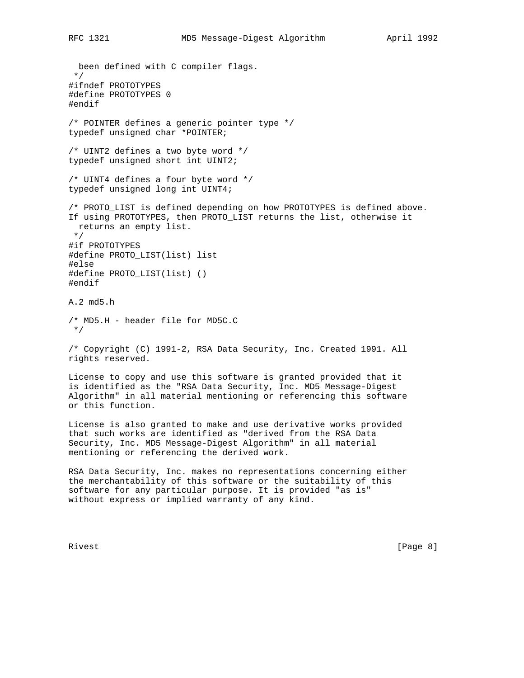been defined with C compiler flags. \*/ #ifndef PROTOTYPES #define PROTOTYPES 0 #endif /\* POINTER defines a generic pointer type \*/ typedef unsigned char \*POINTER; /\* UINT2 defines a two byte word \*/ typedef unsigned short int UINT2; /\* UINT4 defines a four byte word \*/ typedef unsigned long int UINT4; /\* PROTO\_LIST is defined depending on how PROTOTYPES is defined above. If using PROTOTYPES, then PROTO\_LIST returns the list, otherwise it returns an empty list. \*/ #if PROTOTYPES #define PROTO\_LIST(list) list #else #define PROTO\_LIST(list) () #endif A.2 md5.h /\* MD5.H - header file for MD5C.C \*/ /\* Copyright (C) 1991-2, RSA Data Security, Inc. Created 1991. All rights reserved. License to copy and use this software is granted provided that it is identified as the "RSA Data Security, Inc. MD5 Message-Digest Algorithm" in all material mentioning or referencing this software or this function. License is also granted to make and use derivative works provided that such works are identified as "derived from the RSA Data Security, Inc. MD5 Message-Digest Algorithm" in all material mentioning or referencing the derived work.

RSA Data Security, Inc. makes no representations concerning either the merchantability of this software or the suitability of this software for any particular purpose. It is provided "as is" without express or implied warranty of any kind.

Rivest [Page 8]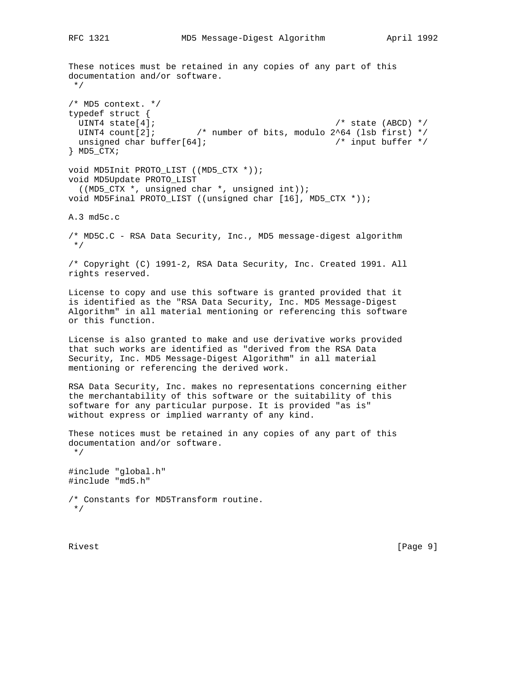These notices must be retained in any copies of any part of this documentation and/or software. \*/ /\* MD5 context. \*/ typedef struct { UINT4 state [4];  $\sqrt{ }$  state (ABCD)  $\star/$ UINT4 count[2];  $\qquad$  /\* number of bits, modulo 2^64 (lsb first) \*/ unsigned char buffer[64]; /\* input buffer \*/ } MD5\_CTX; void MD5Init PROTO\_LIST ((MD5\_CTX \*)); void MD5Update PROTO\_LIST ((MD5\_CTX \*, unsigned char \*, unsigned int)); void MD5Final PROTO\_LIST ((unsigned char [16], MD5\_CTX \*)); A.3 md5c.c /\* MD5C.C - RSA Data Security, Inc., MD5 message-digest algorithm \*/ /\* Copyright (C) 1991-2, RSA Data Security, Inc. Created 1991. All rights reserved. License to copy and use this software is granted provided that it is identified as the "RSA Data Security, Inc. MD5 Message-Digest Algorithm" in all material mentioning or referencing this software or this function. License is also granted to make and use derivative works provided that such works are identified as "derived from the RSA Data Security, Inc. MD5 Message-Digest Algorithm" in all material mentioning or referencing the derived work. RSA Data Security, Inc. makes no representations concerning either the merchantability of this software or the suitability of this software for any particular purpose. It is provided "as is" without express or implied warranty of any kind. These notices must be retained in any copies of any part of this documentation and/or software. \*/ #include "global.h" #include "md5.h" /\* Constants for MD5Transform routine. \*/

Rivest [Page 9]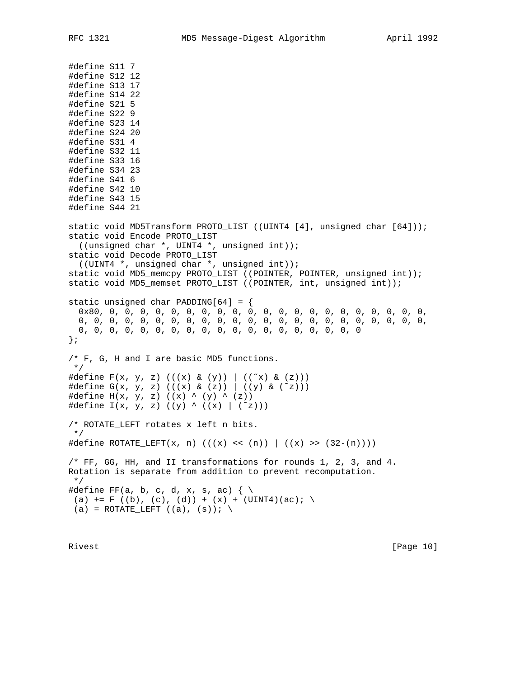#define S11 7 #define S12 12 #define S13 17 #define S14 22 #define S21 5 #define S22 9 #define S23 14 #define S24 20 #define S31 4 #define S32 11 #define S33 16 #define S34 23 #define S41 6 #define S42 10 #define S43 15 #define S44 21 static void MD5Transform PROTO\_LIST ((UINT4 [4], unsigned char [64])); static void Encode PROTO\_LIST ((unsigned char \*, UINT4 \*, unsigned int)); static void Decode PROTO\_LIST ((UINT4 \*, unsigned char \*, unsigned int)); static void MD5\_memcpy PROTO\_LIST ((POINTER, POINTER, unsigned int)); static void MD5\_memset PROTO\_LIST ((POINTER, int, unsigned int)); static unsigned char PADDING[64] = { 0x80, 0, 0, 0, 0, 0, 0, 0, 0, 0, 0, 0, 0, 0, 0, 0, 0, 0, 0, 0, 0, 0, 0, 0, 0, 0, 0, 0, 0, 0, 0, 0, 0, 0, 0, 0, 0, 0, 0, 0, 0, 0, 0, 0, 0, 0, 0, 0, 0, 0, 0, 0, 0, 0, 0, 0, 0, 0, 0, 0, 0, 0, 0, 0 }; /\* F, G, H and I are basic MD5 functions. \*/ #define  $F(x, y, z)$  (((x) & (y)) | ((~x) & (z))) #define  $G(x, y, z)$  (((x) & (z)) | ((y) & (~z))) #define  $H(x, y, z)$  ((x) ^ (y) ^ (z)) #define  $I(x, y, z)$  ((y) ^ ((x) | (~z))) /\* ROTATE\_LEFT rotates x left n bits. \*/ #define ROTATE\_LEFT(x, n) (((x) << (n)) | ((x) >> (32-(n)))) /\* FF, GG, HH, and II transformations for rounds 1, 2, 3, and 4. Rotation is separate from addition to prevent recomputation. \*/ #define FF(a, b, c, d, x, s, ac)  $\{\ \ \backslash$ (a)  $+=$  F ((b), (c), (d)) + (x) + (UINT4)(ac); \ (a) = ROTATE\_LEFT  $((a), (s))$ ; \

Rivest [Page 10]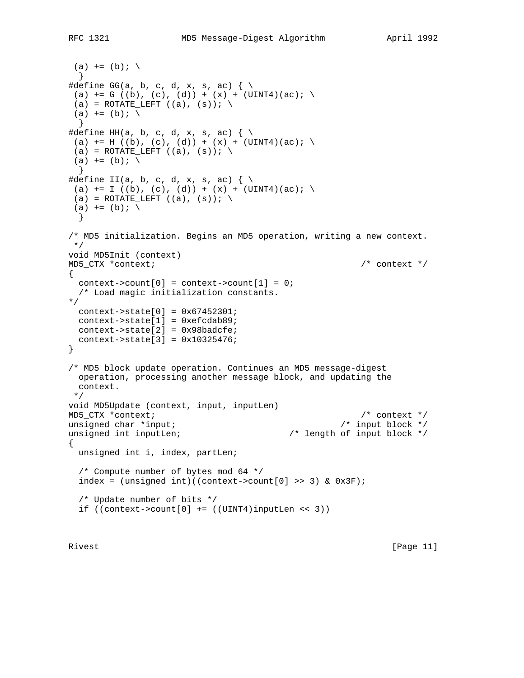```
(a) += (b); \
  }
#define GG(a, b, c, d, x, s, ac) \{\ \ \ \ \(a) += G ((b), (c), (d)) + (x) + (UINT4)(ac);(a) = ROTATE_LEFT ((a), (s)); \
(a) += (b); \
  }
#define HH(a, b, c, d, x, s, ac) \{\ \ \ \ \(a) += H ((b), (c), (d)) + (x) + (UINT4)(ac); \
(a) = ROTATE (LEFT ((a), (s)); \
(a) += (b); \setminus }
#define II(a, b, c, d, x, s, ac) \{\ \ \langle(a) += I ((b), (c), (d)) + (x) + (UINT4)(ac);
(a) = ROTATE_LEFT ((a), (s)); \
(a) += (b); \
  }
/* MD5 initialization. Begins an MD5 operation, writing a new context.
 */
void MD5Init (context)
MD5_CTX *context; /* context */
{
 context->count[0] = context->count[1] = 0;
  /* Load magic initialization constants.
*/
  context->state[0] = 0x67452301;
  context->state[1] = 0xefcdab89;
  context->state[2] = 0x98badcfe;
  context->state[3] = 0x10325476;
}
/* MD5 block update operation. Continues an MD5 message-digest
  operation, processing another message block, and updating the
  context.
 */
void MD5Update (context, input, inputLen)
MD5_CTX *context; /* context */
unsigned char *input; \frac{1}{2} /* input block */
unsigned int inputLen; /* length of input block */
{
  unsigned int i, index, partLen;
   /* Compute number of bytes mod 64 */
  index = (unsigned int)((context->count[0] >> 3) & 0x3F); /* Update number of bits */
  if ((context->count[0] += ((UINT4)inputLen < 3))
```
Rivest [Page 11]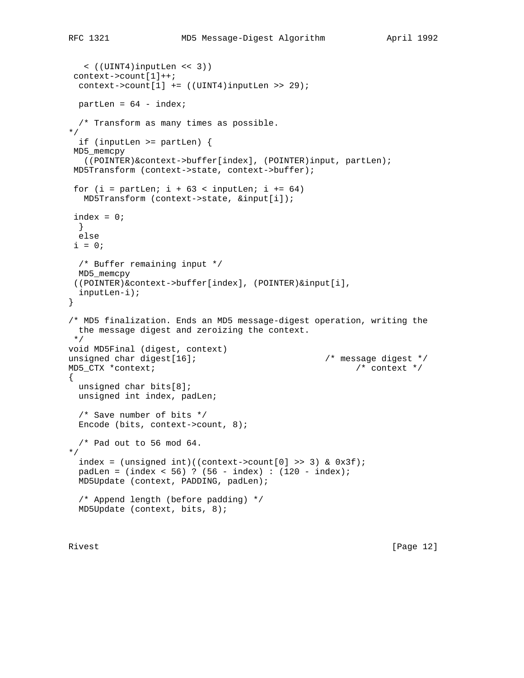```
 < ((UINT4)inputLen << 3))
 context->count[1]++;
 context->count[1] += ((UINT4)inputLen >> 29);
 partLen = 64 - index;
   /* Transform as many times as possible.
*/
   if (inputLen >= partLen) {
 MD5_memcpy
   ((POINTER)&context->buffer[index], (POINTER)input, partLen);
 MD5Transform (context->state, context->buffer);
for (i = partLen; i + 63 < inputLen; i += 64) MD5Transform (context->state, &input[i]);
  index = 0;
  }
  else
 i = 0; /* Buffer remaining input */
  MD5_memcpy
  ((POINTER)&context->buffer[index], (POINTER)&input[i],
  inputLen-i);
}
/* MD5 finalization. Ends an MD5 message-digest operation, writing the
  the message digest and zeroizing the context.
  */
void MD5Final (digest, context)
unsigned char digest[16]; /* message digest */
MD5_CTX *context; /* context */
{
  unsigned char bits[8];
  unsigned int index, padLen;
   /* Save number of bits */
  Encode (bits, context->count, 8);
  /* Pad out to 56 mod 64.
*/
 index = (unsigned int)((context->count[0] > 3) & 0x3f); padLen = (index < 56) ? (56 - index) : (120 - index);
  MD5Update (context, PADDING, padLen);
  /* Append length (before padding) */
  MD5Update (context, bits, 8);
```
Rivest [Page 12]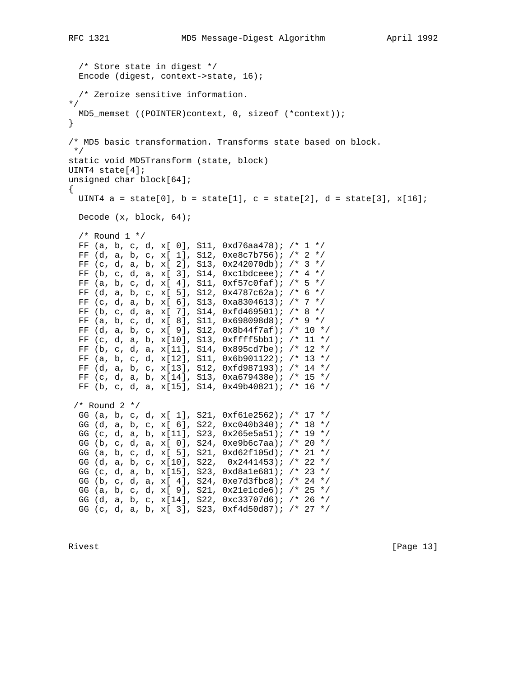```
 /* Store state in digest */
   Encode (digest, context->state, 16);
  /* Zeroize sensitive information.
*/
  MD5_memset ((POINTER)context, 0, sizeof (*context));
}
/* MD5 basic transformation. Transforms state based on block.
 */
static void MD5Transform (state, block)
UINT4 state[4];
unsigned char block[64];
\left\{ \right.UINT4 a = state[0], b = state[1], c = state[2], d = state[3], x[16];
  Decode (x, block, 64);
 /* Round 1 */FF (a, b, c, d, x[ 0], S11, 0xd76aa478); /* 1 */FF (d, a, b, c, x[ 1], S12, 0xe8c7b756); /* 2 */FF (c, d, a, b, x[ 2], S13, 0x242070db; /* 3 */
 FF (b, c, d, a, x[ 3], S14, 0xc1bdceee); /* 4 */ FF (a, b, c, d, x[ 4], S11, 0xf57c0faf); /* 5 */
  FF (d, a, b, c, x[ 5], S12, 0x4787c62a); /* 6 */
  FF (c, d, a, b, x[ 6], S13, 0xa8304613); /* 7 */
  FF (b, c, d, a, x[ 7], S14, 0xfd469501); /* 8 */
  FF (a, b, c, d, x[ 8], S11, 0x698098d8); /* 9 */
  FF (d, a, b, c, x[ 9], S12, 0x8b44f7af); /* 10 */
  FF (c, d, a, b, x[10], S13, 0xffff5bb1); /* 11 */
  FF (b, c, d, a, x[11], S14, 0x895cd7be); /* 12 */
  FF (a, b, c, d, x[12], S11, 0x6b901122); /* 13 */
  FF (d, a, b, c, x[13], S12, 0xfd987193); /* 14 */
  FF (c, d, a, b, x[14], S13, 0xa679438e); /* 15 */
  FF (b, c, d, a, x[15], S14, 0x49b40821); /* 16 */
  /* Round 2 */
   GG (a, b, c, d, x[ 1], S21, 0xf61e2562); /* 17 */
   GG (d, a, b, c, x[ 6], S22, 0xc040b340); /* 18 */
   GG (c, d, a, b, x[11], S23, 0x265e5a51); /* 19 */
   GG (b, c, d, a, x[ 0], S24, 0xe9b6c7aa); /* 20 */
   GG (a, b, c, d, x[ 5], S21, 0xd62f105d); /* 21 */
  GG (d, a, b, c, x[10], S22, 0x2441453); /* 22 */
   GG (c, d, a, b, x[15], S23, 0xd8a1e681); /* 23 */
  GG (b, c, d, a, x[ 4], S24, 0xe7d3fbc8); /* 24 */
  GG (a, b, c, d, x[ 9], S21, 0x21e1cde6); /* 25 */
  GG (d, a, b, c, x[14], S22, 0xc33707d6); /* 26 */
  GG (c, d, a, b, x[ 3], S23, 0xf4d50d87); /* 27 */
```
Rivest [Page 13]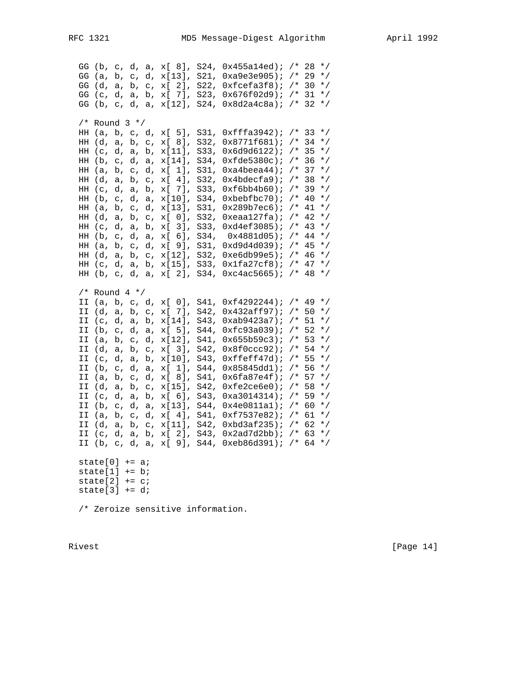GG (b, c, d, a, x[ 8], S24, 0x455a14ed); /\* 28 \*/ GG (a, b, c, d, x[13], S21, 0xa9e3e905); /\* 29 \*/ GG (d, a, b, c, x[ 2], S22,  $0$ xfcefa3f8); /\* 30 \*/ GG (c, d, a, b, x[ 7], S23, 0x676f02d9); /\* 31 \*/ GG (b, c, d, a, x[12], S24, 0x8d2a4c8a); /\* 32 \*/  $/*$  Round 3  $*/$  HH (a, b, c, d, x[ 5], S31, 0xfffa3942); /\* 33 \*/ HH (d, a, b, c, x[ 8], S32, 0x8771f681); /\* 34 \*/ HH (c, d, a, b, x[11], S33, 0x6d9d6122); /\* 35 \*/ HH (b, c, d, a, x[14], S34, 0xfde5380c); /\* 36 \*/ HH (a, b, c, d, x[ 1], S31, 0xa4beea44); /\* 37 \*/ HH (d, a, b, c, x[ 4], S32, 0x4bdecfa9); /\* 38 \*/ HH (c, d, a, b, x[ 7], S33, 0xf6bb4b60); /\* 39 \*/ HH (b, c, d, a, x[10], S34, 0xbebfbc70); /\* 40 \*/ HH (a, b, c, d, x[13], S31, 0x289b7ec6); /\* 41 \*/ HH (d, a, b, c, x[ 0], S32, 0xeaa127fa); /\* 42 \*/ HH (c, d, a, b, x[ 3], S33, 0xd4ef3085); /\* 43 \*/ HH (b, c, d, a, x[ 6], S34, 0x4881d05); /\* 44 \*/ HH (a, b, c, d, x[ 9], S31, 0xd9d4d039); /\* 45 \*/ HH (d, a, b, c, x[12], S32, 0xe6db99e5); /\* 46 \*/ HH (c, d, a, b, x[15], S33, 0x1fa27cf8); /\* 47 \*/ HH (b, c, d, a, x[ 2], S34, 0xc4ac5665); /\* 48 \*/  $/*$  Round 4  $*/$  II (a, b, c, d, x[ 0], S41, 0xf4292244); /\* 49 \*/ II (d, a, b, c, x[ 7], S42, 0x432aff97); /\* 50 \*/ II (c, d, a, b, x[14], S43, 0xab9423a7); /\* 51 \*/ II (b, c, d, a, x[ 5], S44, 0xfc93a039); /\* 52 \*/ II (a, b, c, d, x[12], S41, 0x655b59c3); /\* 53 \*/ II (d, a, b, c, x[ 3], S42, 0x8f0ccc92); /\* 54 \*/ II (c, d, a, b, x[10], S43, 0xffeff47d); /\* 55 \*/ II (b, c, d, a, x[ 1], S44, 0x85845dd1); /\* 56 \*/ II (a, b, c, d, x[ 8], S41, 0x6fa87e4f); /\* 57 \*/ II (d, a, b, c, x[15], S42, 0xfe2ce6e0); /\* 58 \*/ II (c, d, a, b, x[ 6], S43, 0xa3014314); /\* 59 \*/ II (b, c, d, a, x[13], S44, 0x4e0811a1); /\* 60 \*/ II (a, b, c, d, x[ 4], S41, 0xf7537e82); /\* 61 \*/ II (d, a, b, c, x[11], S42, 0xbd3af235); /\* 62 \*/ II (c, d, a, b, x[ 2], S43, 0x2ad7d2bb); /\* 63 \*/ II (b, c, d, a, x[ 9], S44, 0xeb86d391); /\* 64 \*/ state $[0]$  += a; state $[1]$  += b; state $[2]$  += c; state[3]  $+= d$ ; /\* Zeroize sensitive information.

Rivest [Page 14]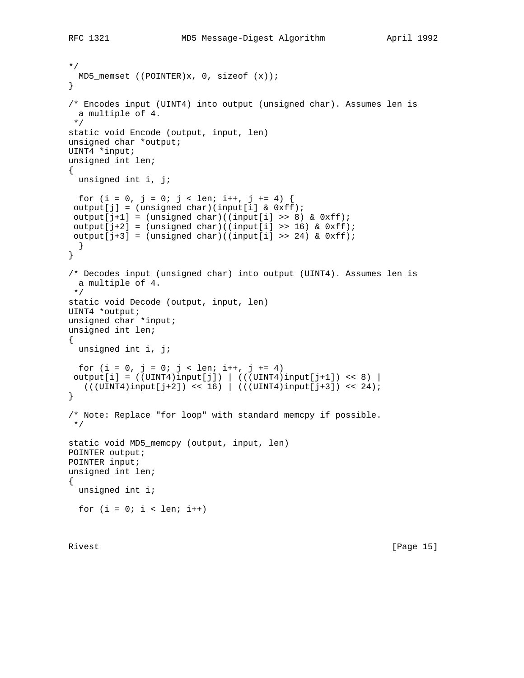```
*/
  MD5_memset ((POINTER)x, 0, sizeof (x));
}
/* Encodes input (UINT4) into output (unsigned char). Assumes len is
  a multiple of 4.
  */
static void Encode (output, input, len)
unsigned char *output;
UINT4 *input;
unsigned int len;
{
  unsigned int i, j;
 for (i = 0, j = 0; j < len; i++, j += 4) {
 output[j] = (unsigned char)(input[i] & 0xf);output[j+1] = (unsigned char)((input[i] >> 8) & 0xff);
 output[j+2] = (unsigned char)((input[i] >> 16) & 0xff);
output[j+3] = (unsigned char)((input[i] >> 24) & 0xfj; }
}
/* Decodes input (unsigned char) into output (UINT4). Assumes len is
  a multiple of 4.
  */
static void Decode (output, input, len)
UINT4 *output;
unsigned char *input;
unsigned int len;
{
  unsigned int i, j;
 for (i = 0, j = 0; j < len; i++), j += 4)
output[i] = ((UINT4)input[j]) | ((UINT4)input[j+1]) << 8)((UINT4)input[j+2]) << 16) ((UINT4)input[j+3]) << 24);}
/* Note: Replace "for loop" with standard memcpy if possible.
 */
static void MD5_memcpy (output, input, len)
POINTER output;
POINTER input;
unsigned int len;
{
  unsigned int i;
 for (i = 0; i < len; i++)
```
Rivest [Page 15]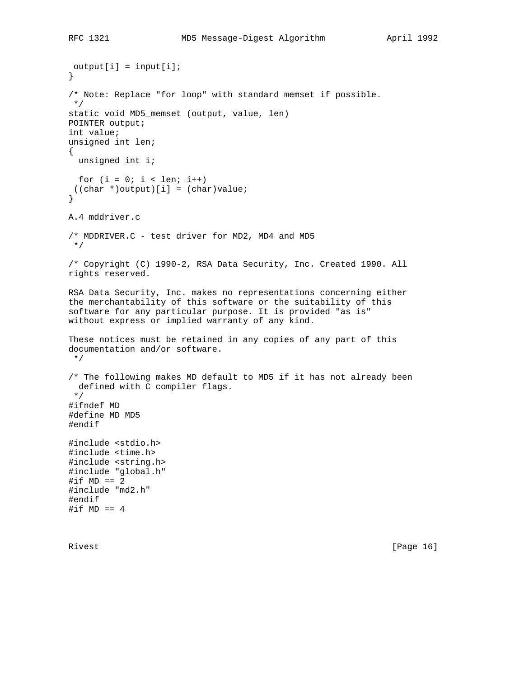$output[i] = input[i];$ } /\* Note: Replace "for loop" with standard memset if possible. \*/ static void MD5\_memset (output, value, len) POINTER output; int value; unsigned int len; { unsigned int i; for  $(i = 0; i < len; i++)$  $((char *)output)[i] = (char)value;$ } A.4 mddriver.c /\* MDDRIVER.C - test driver for MD2, MD4 and MD5 \*/ /\* Copyright (C) 1990-2, RSA Data Security, Inc. Created 1990. All rights reserved. RSA Data Security, Inc. makes no representations concerning either the merchantability of this software or the suitability of this software for any particular purpose. It is provided "as is" without express or implied warranty of any kind. These notices must be retained in any copies of any part of this documentation and/or software. \*/ /\* The following makes MD default to MD5 if it has not already been defined with C compiler flags. \*/ #ifndef MD #define MD MD5 #endif #include <stdio.h> #include <time.h> #include <string.h> #include "global.h"  $\# \texttt{if}$  MD == 2 #include "md2.h" #endif #if  $MD == 4$ 

Rivest [Page 16]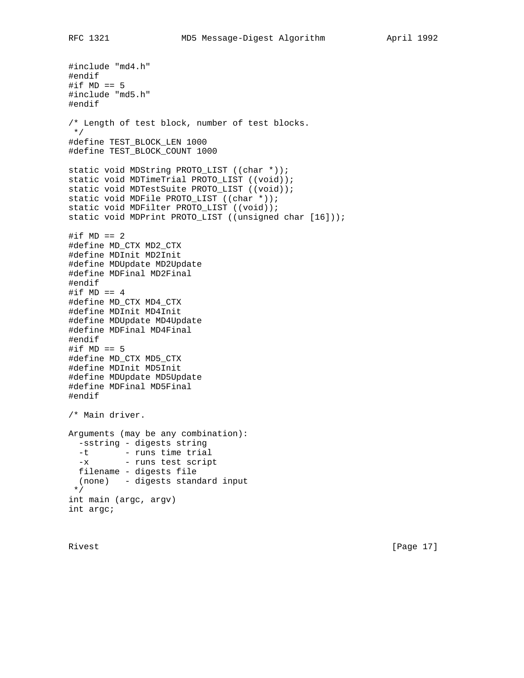#include "md4.h" #endif #if  $MD == 5$ #include "md5.h" #endif /\* Length of test block, number of test blocks. \*/ #define TEST\_BLOCK\_LEN 1000 #define TEST\_BLOCK\_COUNT 1000 static void MDString PROTO\_LIST ((char \*)); static void MDTimeTrial PROTO\_LIST ((void)); static void MDTestSuite PROTO\_LIST ((void)); static void MDFile PROTO\_LIST ((char \*)); static void MDFilter PROTO LIST ((void)); static void MDPrint PROTO\_LIST ((unsigned char [16])); #if  $MD == 2$ #define MD\_CTX MD2\_CTX #define MDInit MD2Init #define MDUpdate MD2Update #define MDFinal MD2Final #endif #if  $MD == 4$ #define MD\_CTX MD4\_CTX #define MDInit MD4Init #define MDUpdate MD4Update #define MDFinal MD4Final #endif #if  $MD == 5$ #define MD\_CTX MD5\_CTX #define MDInit MD5Init #define MDUpdate MD5Update #define MDFinal MD5Final #endif /\* Main driver. Arguments (may be any combination): -sstring - digests string -t - runs time trial -x - runs test script filename - digests file (none) - digests standard input \*/ int main (argc, argv) int argc;

Rivest [Page 17]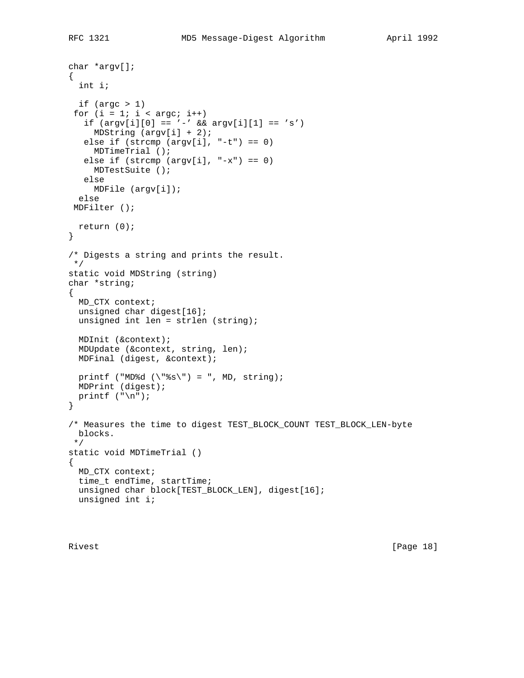```
char *argv[];
{
   int i;
  if (\text{argc} > 1)for (i = 1; i < argc; i++)if (\arg v[i][0] == '-' && \arg v[i][1] == 's')MDString (\text{argv}[i] + 2);
   else if (strcmp (argv[i], "-t") == 0)
     MDTimeTrial ();
   else if (strcmp (argv[i], "-x") == 0)
     MDTestSuite ();
    else
     MDFile (argv[i]);
   else
 MDFilter ();
  return (0);
}
/* Digests a string and prints the result.
 */
static void MDString (string)
char *string;
{
  MD_CTX context;
   unsigned char digest[16];
  unsigned int len = strlen (string);
  MDInit (&context);
   MDUpdate (&context, string, len);
   MDFinal (digest, &context);
  printf ("MD%d (\n\langle "\s \rangle") = ", MD, string);
  MDPrint (digest);
 printf (\sqrt[n]{n});
}
/* Measures the time to digest TEST_BLOCK_COUNT TEST_BLOCK_LEN-byte
  blocks.
  */
static void MDTimeTrial ()
{
  MD_CTX context;
   time_t endTime, startTime;
   unsigned char block[TEST_BLOCK_LEN], digest[16];
   unsigned int i;
```
Rivest [Page 18]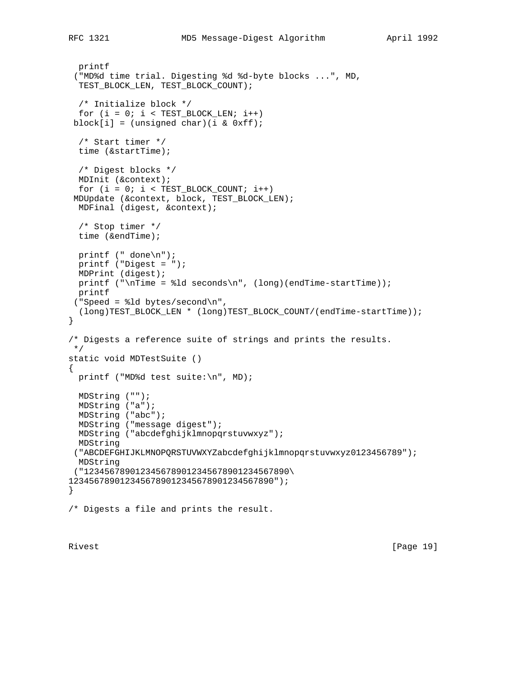```
 printf
  ("MD%d time trial. Digesting %d %d-byte blocks ...", MD,
   TEST_BLOCK_LEN, TEST_BLOCK_COUNT);
   /* Initialize block */
  for (i = 0; i < TEST_BLOCALEN; i++)block[i] = (unsigned char)(i & 0xff); /* Start timer */
  time (&startTime);
   /* Digest blocks */
  MDInit (&context);
  for (i = 0; i < \text{TEST\_BLOCK\_COUNT}; i++) MDUpdate (&context, block, TEST_BLOCK_LEN);
  MDFinal (digest, &context);
  /* Stop timer */
  time (&endTime);
  printf (" done\n");
  printf ("Digest = ");
  MDPrint (digest);
 printf ("\nTime = dd seconds\n", (long)(endTime-startTime));
  printf
  ("Speed = %ld bytes/second\n",
   (long)TEST_BLOCK_LEN * (long)TEST_BLOCK_COUNT/(endTime-startTime));
}
/* Digests a reference suite of strings and prints the results.
  */
static void MDTestSuite ()
{
  printf ("MD%d test suite:\n", MD);
  MDString ("");
  MDString ("a");
  MDString ("abc");
  MDString ("message digest");
  MDString ("abcdefghijklmnopqrstuvwxyz");
  MDString
  ("ABCDEFGHIJKLMNOPQRSTUVWXYZabcdefghijklmnopqrstuvwxyz0123456789");
  MDString
  ("1234567890123456789012345678901234567890\
1234567890123456789012345678901234567890");
}
/* Digests a file and prints the result.
```
Rivest [Page 19]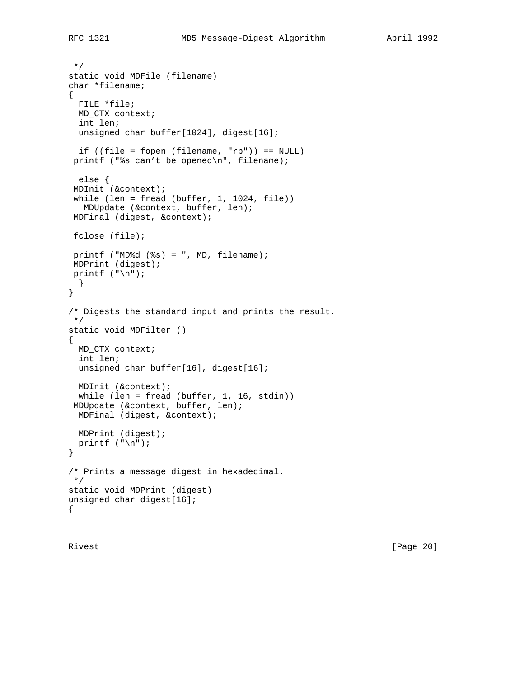```
 */
static void MDFile (filename)
char *filename;
{
  FILE *file;
  MD_CTX context;
  int len;
 unsigned char buffer[1024], digest[16];
  if ((file = fopen (filename, "rb")) == NULL)
 printf ("%s can't be opened\n", filename);
  else {
  MDInit (&context);
 while (len = fread (buffer, 1, 1024, file))
   MDUpdate (&context, buffer, len);
 MDFinal (digest, &context);
 fclose (file);
 printf ("MD%d (%s) = ", MD, filename);
 MDPrint (digest);
printf (\sqrt[n]{n});
  }
}
/* Digests the standard input and prints the result.
  */
```

```
static void MDFilter ()
{
  MD_CTX context;
```

```
 int len;
unsigned char buffer[16], digest[16];
 MDInit (&context);
```

```
 while (len = fread (buffer, 1, 16, stdin))
 MDUpdate (&context, buffer, len);
  MDFinal (digest, &context);
  MDPrint (digest);
  printf ("\n");
}
/* Prints a message digest in hexadecimal.
```

```
 */
static void MDPrint (digest)
unsigned char digest[16];
{
```
Rivest [Page 20]